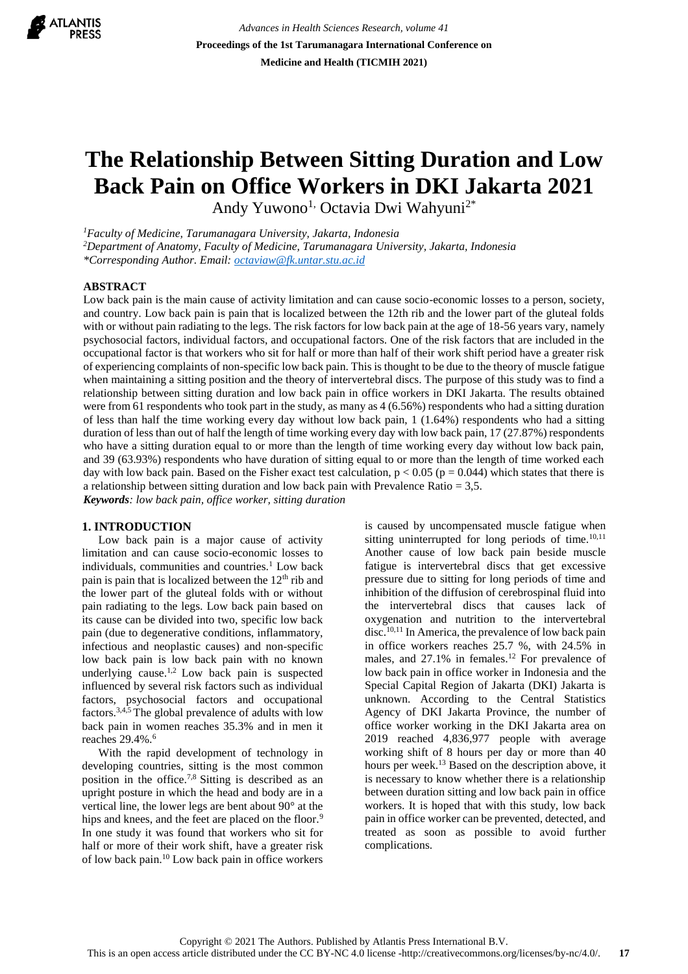

*Advances in Health Sciences Research, volume 41* **Proceedings of the 1st Tarumanagara International Conference on Medicine and Health (TICMIH 2021)**

# **The Relationship Between Sitting Duration and Low Back Pain on Office Workers in DKI Jakarta 2021**

Andy Yuwono<sup>1,</sup> Octavia Dwi Wahyuni<sup>2\*</sup>

*<sup>1</sup>Faculty of Medicine, Tarumanagara University, Jakarta, Indonesia <sup>2</sup>Department of Anatomy, Faculty of Medicine, Tarumanagara University, Jakarta, Indonesia \*Corresponding Author. Email[: octaviaw@fk.untar.stu.ac.id](mailto:octaviaw@fk.untar.stu.ac.id)*

### **ABSTRACT**

Low back pain is the main cause of activity limitation and can cause socio-economic losses to a person, society, and country. Low back pain is pain that is localized between the 12th rib and the lower part of the gluteal folds with or without pain radiating to the legs. The risk factors for low back pain at the age of 18-56 years vary, namely psychosocial factors, individual factors, and occupational factors. One of the risk factors that are included in the occupational factor is that workers who sit for half or more than half of their work shift period have a greater risk of experiencing complaints of non-specific low back pain. This is thought to be due to the theory of muscle fatigue when maintaining a sitting position and the theory of intervertebral discs. The purpose of this study was to find a relationship between sitting duration and low back pain in office workers in DKI Jakarta. The results obtained were from 61 respondents who took part in the study, as many as 4 (6.56%) respondents who had a sitting duration of less than half the time working every day without low back pain, 1 (1.64%) respondents who had a sitting duration of less than out of half the length of time working every day with low back pain, 17 (27.87%) respondents who have a sitting duration equal to or more than the length of time working every day without low back pain, and 39 (63.93%) respondents who have duration of sitting equal to or more than the length of time worked each day with low back pain. Based on the Fisher exact test calculation,  $p < 0.05$  ( $p = 0.044$ ) which states that there is a relationship between sitting duration and low back pain with Prevalence Ratio = 3,5. *Keywords: low back pain, office worker, sitting duration*

# **1. INTRODUCTION**

Low back pain is a major cause of activity limitation and can cause socio-economic losses to individuals, communities and countries.<sup>1</sup> Low back pain is pain that is localized between the  $12<sup>th</sup>$  rib and the lower part of the gluteal folds with or without pain radiating to the legs. Low back pain based on its cause can be divided into two, specific low back pain (due to degenerative conditions, inflammatory, infectious and neoplastic causes) and non-specific low back pain is low back pain with no known underlying cause.<sup>1,2</sup> Low back pain is suspected influenced by several risk factors such as individual factors, psychosocial factors and occupational factors.3,4,5 The global prevalence of adults with low back pain in women reaches 35.3% and in men it reaches 29.4%.<sup>6</sup>

With the rapid development of technology in developing countries, sitting is the most common position in the office. 7,8 Sitting is described as an upright posture in which the head and body are in a vertical line, the lower legs are bent about 90° at the hips and knees, and the feet are placed on the floor.<sup>9</sup> In one study it was found that workers who sit for half or more of their work shift, have a greater risk of low back pain.<sup>10</sup> Low back pain in office workers

is caused by uncompensated muscle fatigue when sitting uninterrupted for long periods of time. $10,11$ Another cause of low back pain beside muscle fatigue is intervertebral discs that get excessive pressure due to sitting for long periods of time and inhibition of the diffusion of cerebrospinal fluid into the intervertebral discs that causes lack of oxygenation and nutrition to the intervertebral disc. 10,11 In America, the prevalence of low back pain in office workers reaches 25.7 %, with 24.5% in males, and  $27.1\%$  in females.<sup>12</sup> For prevalence of low back pain in office worker in Indonesia and the Special Capital Region of Jakarta (DKI) Jakarta is unknown. According to the Central Statistics Agency of DKI Jakarta Province, the number of office worker working in the DKI Jakarta area on 2019 reached 4,836,977 people with average working shift of 8 hours per day or more than 40 hours per week. <sup>13</sup> Based on the description above, it is necessary to know whether there is a relationship between duration sitting and low back pain in office workers. It is hoped that with this study, low back pain in office worker can be prevented, detected, and treated as soon as possible to avoid further complications.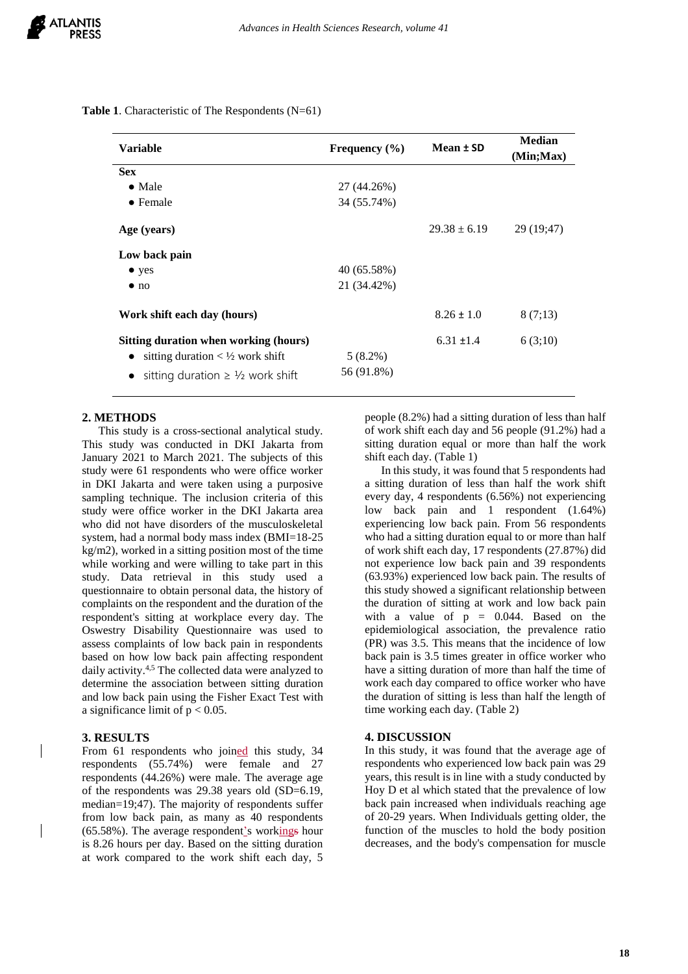**Table 1**. Characteristic of The Respondents (N=61)

| <b>Variable</b>                                                                                                                                       | Frequency $(\% )$        | Mean ± SD        | <b>Median</b><br>(Min;Max) |
|-------------------------------------------------------------------------------------------------------------------------------------------------------|--------------------------|------------------|----------------------------|
| <b>Sex</b>                                                                                                                                            |                          |                  |                            |
| $\bullet$ Male                                                                                                                                        | 27 (44.26%)              |                  |                            |
| $\bullet$ Female                                                                                                                                      | 34 (55.74%)              |                  |                            |
| Age (years)                                                                                                                                           |                          | $29.38 \pm 6.19$ | 29 (19;47)                 |
| Low back pain                                                                                                                                         |                          |                  |                            |
| $\bullet$ yes                                                                                                                                         | 40 (65.58%)              |                  |                            |
| $\bullet$ no                                                                                                                                          | 21 (34.42%)              |                  |                            |
| Work shift each day (hours)                                                                                                                           |                          | $8.26 \pm 1.0$   | 8(7;13)                    |
| Sitting duration when working (hours)<br>sitting duration $\lt \frac{1}{2}$ work shift<br>$\bullet$<br>sitting duration $\geq \frac{1}{2}$ work shift | $5(8.2\%)$<br>56 (91.8%) | $6.31 \pm 1.4$   | 6(3;10)                    |

# **2. METHODS**

This study is a cross-sectional analytical study. This study was conducted in DKI Jakarta from January 2021 to March 2021. The subjects of this study were 61 respondents who were office worker in DKI Jakarta and were taken using a purposive sampling technique. The inclusion criteria of this study were office worker in the DKI Jakarta area who did not have disorders of the musculoskeletal system, had a normal body mass index (BMI=18-25 kg/m2), worked in a sitting position most of the time while working and were willing to take part in this study. Data retrieval in this study used a questionnaire to obtain personal data, the history of complaints on the respondent and the duration of the respondent's sitting at workplace every day. The Oswestry Disability Questionnaire was used to assess complaints of low back pain in respondents based on how low back pain affecting respondent daily activity.<sup>4,5</sup> The collected data were analyzed to determine the association between sitting duration and low back pain using the Fisher Exact Test with a significance limit of  $p < 0.05$ .

#### **3. RESULTS**

From 61 respondents who joined this study, 34 respondents (55.74%) were female and 27 respondents (44.26%) were male. The average age of the respondents was 29.38 years old (SD=6.19, median=19;47). The majority of respondents suffer from low back pain, as many as 40 respondents (65.58%). The average respondent's workings hour is 8.26 hours per day. Based on the sitting duration at work compared to the work shift each day, 5

people (8.2%) had a sitting duration of less than half of work shift each day and 56 people (91.2%) had a sitting duration equal or more than half the work shift each day. (Table 1)

In this study, it was found that 5 respondents had a sitting duration of less than half the work shift every day, 4 respondents (6.56%) not experiencing low back pain and 1 respondent (1.64%) experiencing low back pain. From 56 respondents who had a sitting duration equal to or more than half of work shift each day, 17 respondents (27.87%) did not experience low back pain and 39 respondents (63.93%) experienced low back pain. The results of this study showed a significant relationship between the duration of sitting at work and low back pain with a value of  $p = 0.044$ . Based on the epidemiological association, the prevalence ratio (PR) was 3.5. This means that the incidence of low back pain is 3.5 times greater in office worker who have a sitting duration of more than half the time of work each day compared to office worker who have the duration of sitting is less than half the length of time working each day. (Table 2)

#### **4. DISCUSSION**

In this study, it was found that the average age of respondents who experienced low back pain was 29 years, this result is in line with a study conducted by Hoy D et al which stated that the prevalence of low back pain increased when individuals reaching age of 20-29 years. When Individuals getting older, the function of the muscles to hold the body position decreases, and the body's compensation for muscle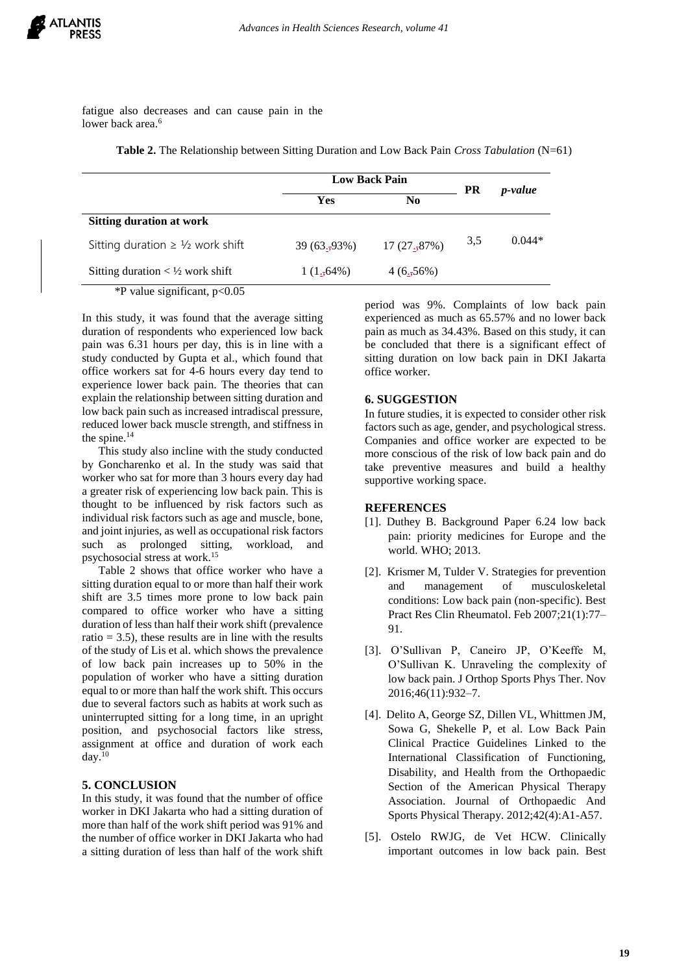fatigue also decreases and can cause pain in the lower back area.<sup>6</sup>

**Table 2.** The Relationship between Sitting Duration and Low Back Pain *Cross Tabulation* (N=61)

|                                                | <b>Low Back Pain</b> |                | <b>PR</b> | <i>p</i> -value |
|------------------------------------------------|----------------------|----------------|-----------|-----------------|
|                                                | Yes                  | N <sub>0</sub> |           |                 |
| <b>Sitting duration at work</b>                |                      |                |           |                 |
| Sitting duration $\geq \frac{1}{2}$ work shift | $39(63, -93%)$       | $17(27,37\%)$  | 3.5       | $0.044*$        |
| Sitting duration $\lt\frac{1}{2}$ work shift   | $1(1.564\%)$         | $4(6.56\%)$    |           |                 |
| $*D$ $$ $$ $$ $$ $C$ $$ $A$ $B$                |                      |                |           |                 |

\*P value significant, p<0.05

In this study, it was found that the average sitting duration of respondents who experienced low back pain was 6.31 hours per day, this is in line with a study conducted by Gupta et al., which found that office workers sat for 4-6 hours every day tend to experience lower back pain. The theories that can explain the relationship between sitting duration and low back pain such as increased intradiscal pressure, reduced lower back muscle strength, and stiffness in the spine.<sup>14</sup>

This study also incline with the study conducted by Goncharenko et al. In the study was said that worker who sat for more than 3 hours every day had a greater risk of experiencing low back pain. This is thought to be influenced by risk factors such as individual risk factors such as age and muscle, bone, and joint injuries, as well as occupational risk factors such as prolonged sitting, workload, and psychosocial stress at work. 15

Table 2 shows that office worker who have a sitting duration equal to or more than half their work shift are 3.5 times more prone to low back pain compared to office worker who have a sitting duration of less than half their work shift (prevalence ratio  $= 3.5$ ), these results are in line with the results of the study of Lis et al. which shows the prevalence of low back pain increases up to 50% in the population of worker who have a sitting duration equal to or more than half the work shift. This occurs due to several factors such as habits at work such as uninterrupted sitting for a long time, in an upright position, and psychosocial factors like stress, assignment at office and duration of work each day. 10

# **5. CONCLUSION**

In this study, it was found that the number of office worker in DKI Jakarta who had a sitting duration of more than half of the work shift period was 91% and the number of office worker in DKI Jakarta who had a sitting duration of less than half of the work shift period was 9%. Complaints of low back pain experienced as much as 65.57% and no lower back pain as much as 34.43%. Based on this study, it can be concluded that there is a significant effect of sitting duration on low back pain in DKI Jakarta office worker.

# **6. SUGGESTION**

In future studies, it is expected to consider other risk factors such as age, gender, and psychological stress. Companies and office worker are expected to be more conscious of the risk of low back pain and do take preventive measures and build a healthy supportive working space.

# **REFERENCES**

- [1]. Duthey B. Background Paper 6.24 low back pain: priority medicines for Europe and the world. WHO; 2013.
- [2]. Krismer M, Tulder V. Strategies for prevention and management of musculoskeletal conditions: Low back pain (non-specific). Best Pract Res Clin Rheumatol. Feb 2007;21(1):77– 91.
- [3]. O'Sullivan P, Caneiro JP, O'Keeffe M, O'Sullivan K. Unraveling the complexity of low back pain. J Orthop Sports Phys Ther. Nov 2016;46(11):932–7.
- [4]. Delito A, George SZ, Dillen VL, Whittmen JM, Sowa G, Shekelle P, et al. Low Back Pain Clinical Practice Guidelines Linked to the International Classification of Functioning, Disability, and Health from the Orthopaedic Section of the American Physical Therapy Association. Journal of Orthopaedic And Sports Physical Therapy. 2012;42(4):A1-A57.
- [5]. Ostelo RWJG, de Vet HCW. Clinically important outcomes in low back pain. Best